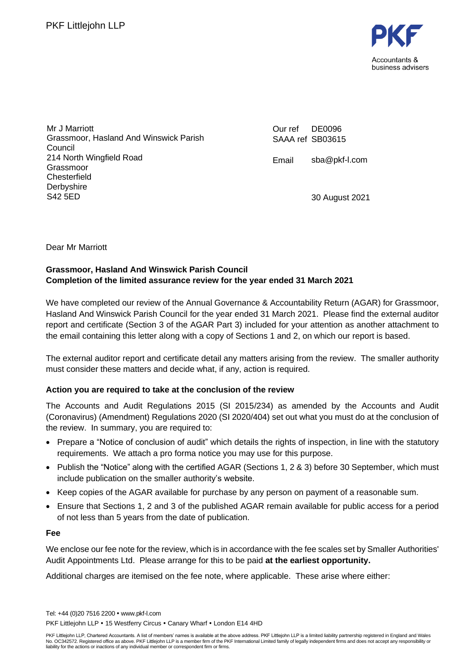

Mr J Marriott Grassmoor, Hasland And Winswick Parish Council 214 North Wingfield Road Grassmoor **Chesterfield Derbyshire** S42 5ED

Our ref SAAA ref SB03615 DE0096

Email sba@pkf-l.com

30 August 2021

Dear Mr Marriott

### **Grassmoor, Hasland And Winswick Parish Council Completion of the limited assurance review for the year ended 31 March 2021**

We have completed our review of the Annual Governance & Accountability Return (AGAR) for Grassmoor, Hasland And Winswick Parish Council for the year ended 31 March 2021. Please find the external auditor report and certificate (Section 3 of the AGAR Part 3) included for your attention as another attachment to the email containing this letter along with a copy of Sections 1 and 2, on which our report is based.

The external auditor report and certificate detail any matters arising from the review. The smaller authority must consider these matters and decide what, if any, action is required.

### **Action you are required to take at the conclusion of the review**

The Accounts and Audit Regulations 2015 (SI 2015/234) as amended by the Accounts and Audit (Coronavirus) (Amendment) Regulations 2020 (SI 2020/404) set out what you must do at the conclusion of the review. In summary, you are required to:

- Prepare a "Notice of conclusion of audit" which details the rights of inspection, in line with the statutory requirements. We attach a pro forma notice you may use for this purpose.
- Publish the "Notice" along with the certified AGAR (Sections 1, 2 & 3) before 30 September, which must include publication on the smaller authority's website.
- Keep copies of the AGAR available for purchase by any person on payment of a reasonable sum.
- Ensure that Sections 1, 2 and 3 of the published AGAR remain available for public access for a period of not less than 5 years from the date of publication.

**Fee**

We enclose our fee note for the review, which is in accordance with the fee scales set by Smaller Authorities' Audit Appointments Ltd. Please arrange for this to be paid **at the earliest opportunity.**

Additional charges are itemised on the fee note, where applicable. These arise where either:

Tel: +44 (0)20 7516 2200 www.pkf-l.com PKF Littleiohn LLP • 15 Westferry Circus • Canary Wharf • London E14 4HD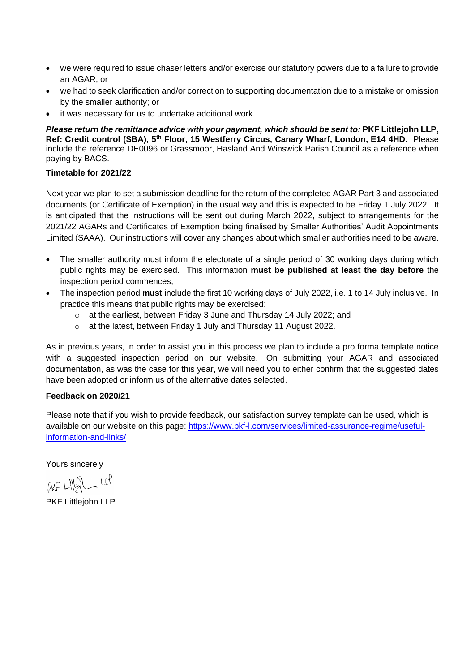- we were required to issue chaser letters and/or exercise our statutory powers due to a failure to provide an AGAR; or
- we had to seek clarification and/or correction to supporting documentation due to a mistake or omission by the smaller authority; or
- it was necessary for us to undertake additional work.

*Please return the remittance advice with your payment, which should be sent to:* **PKF Littlejohn LLP,**  Ref: Credit control (SBA), 5<sup>th</sup> Floor, 15 Westferry Circus, Canary Wharf, London, E14 4HD. Please include the reference DE0096 or Grassmoor, Hasland And Winswick Parish Council as a reference when paying by BACS.

#### **Timetable for 2021/22**

Next year we plan to set a submission deadline for the return of the completed AGAR Part 3 and associated documents (or Certificate of Exemption) in the usual way and this is expected to be Friday 1 July 2022. It is anticipated that the instructions will be sent out during March 2022, subject to arrangements for the 2021/22 AGARs and Certificates of Exemption being finalised by Smaller Authorities' Audit Appointments Limited (SAAA). Our instructions will cover any changes about which smaller authorities need to be aware.

- The smaller authority must inform the electorate of a single period of 30 working days during which public rights may be exercised. This information **must be published at least the day before** the inspection period commences;
- The inspection period **must** include the first 10 working days of July 2022, i.e. 1 to 14 July inclusive. In practice this means that public rights may be exercised:
	- o at the earliest, between Friday 3 June and Thursday 14 July 2022; and
	- o at the latest, between Friday 1 July and Thursday 11 August 2022.

As in previous years, in order to assist you in this process we plan to include a pro forma template notice with a suggested inspection period on our website. On submitting your AGAR and associated documentation, as was the case for this year, we will need you to either confirm that the suggested dates have been adopted or inform us of the alternative dates selected.

#### **Feedback on 2020/21**

Please note that if you wish to provide feedback, our satisfaction survey template can be used, which is available on our website on this page: https://www.pkf-l.com/services/limited-assurance-regime/usefulinformation-and-links/

Yours sincerely

 $AF LHQL LL$ 

PKF Littlejohn LLP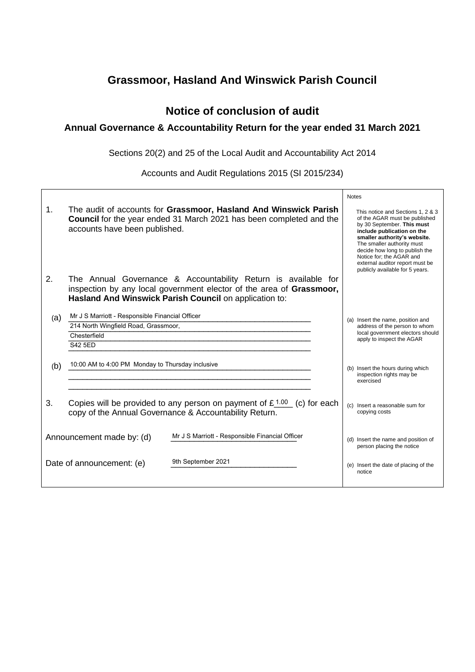## **Grassmoor, Hasland And Winswick Parish Council**

## **Notice of conclusion of audit**

## **Annual Governance & Accountability Return for the year ended 31 March 2021**

Sections 20(2) and 25 of the Local Audit and Accountability Act 2014

Accounts and Audit Regulations 2015 (SI 2015/234)

|                                                                              |                                                  |                                                                                                                                                                                                  |                                                                  | <b>Notes</b> |                                                                                                                                                                                                                                                                                                                                  |
|------------------------------------------------------------------------------|--------------------------------------------------|--------------------------------------------------------------------------------------------------------------------------------------------------------------------------------------------------|------------------------------------------------------------------|--------------|----------------------------------------------------------------------------------------------------------------------------------------------------------------------------------------------------------------------------------------------------------------------------------------------------------------------------------|
| 1.                                                                           | accounts have been published.                    | The audit of accounts for Grassmoor, Hasland And Winswick Parish<br><b>Council</b> for the year ended 31 March 2021 has been completed and the                                                   |                                                                  |              | This notice and Sections 1, 2 & 3<br>of the AGAR must be published<br>by 30 September. This must<br>include publication on the<br>smaller authority's website.<br>The smaller authority must<br>decide how long to publish the<br>Notice for; the AGAR and<br>external auditor report must be<br>publicly available for 5 years. |
| 2.                                                                           |                                                  | The Annual Governance & Accountability Return is available for<br>inspection by any local government elector of the area of Grassmoor,<br>Hasland And Winswick Parish Council on application to: |                                                                  |              |                                                                                                                                                                                                                                                                                                                                  |
| (a)                                                                          | Mr J S Marriott - Responsible Financial Officer  |                                                                                                                                                                                                  |                                                                  |              | (a) Insert the name, position and                                                                                                                                                                                                                                                                                                |
|                                                                              | 214 North Wingfield Road, Grassmoor,             |                                                                                                                                                                                                  |                                                                  |              | address of the person to whom                                                                                                                                                                                                                                                                                                    |
|                                                                              | Chesterfield                                     |                                                                                                                                                                                                  |                                                                  |              | local government electors should<br>apply to inspect the AGAR                                                                                                                                                                                                                                                                    |
|                                                                              | <b>S42 5ED</b>                                   |                                                                                                                                                                                                  |                                                                  |              |                                                                                                                                                                                                                                                                                                                                  |
| (b)                                                                          | 10:00 AM to 4:00 PM Monday to Thursday inclusive |                                                                                                                                                                                                  |                                                                  |              | (b) Insert the hours during which<br>inspection rights may be<br>exercised                                                                                                                                                                                                                                                       |
| 3.                                                                           |                                                  | Copies will be provided to any person on payment of $£1.00$ (c) for each<br>copy of the Annual Governance & Accountability Return.                                                               |                                                                  |              | (c) Insert a reasonable sum for<br>copying costs                                                                                                                                                                                                                                                                                 |
| Mr J S Marriott - Responsible Financial Officer<br>Announcement made by: (d) |                                                  |                                                                                                                                                                                                  | (d) Insert the name and position of<br>person placing the notice |              |                                                                                                                                                                                                                                                                                                                                  |
|                                                                              | Date of announcement: (e)                        | 9th September 2021                                                                                                                                                                               |                                                                  |              | (e) Insert the date of placing of the<br>notice                                                                                                                                                                                                                                                                                  |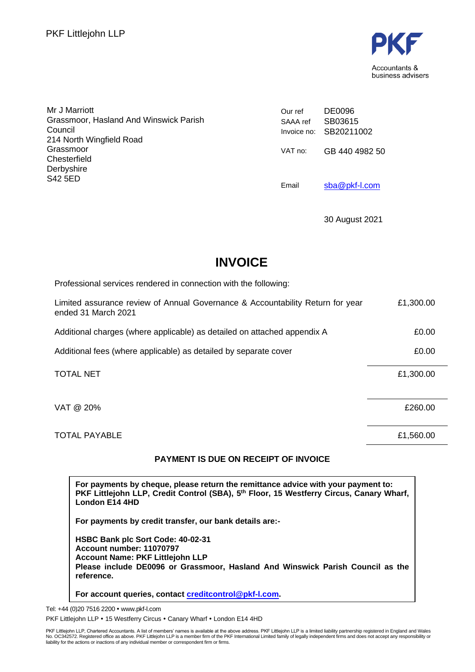

| Mr J Marriott<br>Grassmoor, Hasland And Winswick Parish | Our ref  | DE0096                            |
|---------------------------------------------------------|----------|-----------------------------------|
| Council                                                 | SAAA ref | SB03615<br>Invoice no: SB20211002 |
| 214 North Wingfield Road                                |          |                                   |
| Grassmoor                                               | VAT no:  | GB 440 4982 50                    |
| Chesterfield                                            |          |                                   |
| Derbyshire                                              |          |                                   |
| S42 5ED                                                 | Email    | sba@pkf-l.com                     |

30 August 2021

# **INVOICE**

| Professional services rendered in connection with the following:                                      |           |
|-------------------------------------------------------------------------------------------------------|-----------|
| Limited assurance review of Annual Governance & Accountability Return for year<br>ended 31 March 2021 | £1,300.00 |
| Additional charges (where applicable) as detailed on attached appendix A                              | £0.00     |
| Additional fees (where applicable) as detailed by separate cover                                      | £0.00     |
| <b>TOTAL NET</b>                                                                                      | £1,300.00 |
| VAT @ 20%                                                                                             | £260.00   |
| <b>TOTAL PAYABLE</b>                                                                                  | £1,560.00 |

## **PAYMENT IS DUE ON RECEIPT OF INVOICE**

**For payments by cheque, please return the remittance advice with your payment to: PKF Littlejohn LLP, Credit Control (SBA), 5 th Floor, 15 Westferry Circus, Canary Wharf, London E14 4HD**

**For payments by credit transfer, our bank details are:-**

**HSBC Bank plc Sort Code: 40-02-31 Account number: 11070797 Account Name: PKF Littlejohn LLP Please include DE0096 or Grassmoor, Hasland And Winswick Parish Council as the reference.**

**For account queries, contact creditcontrol@pkf-l.com.**

Tel: +44 (0)20 7516 2200 www.pkf-l.com PKF Littlejohn LLP . 15 Westferry Circus . Canary Wharf . London E14 4HD

PKF Littlejohn LLP, Chartered Accountants. A list of members' names is available at the above address. PKF Littlejohn LLP is a limited liability partnership registered in England and Wales<br>No. OC342572. Registered office a liability for the actions or inactions of any individual member or correspondent firm or firms.